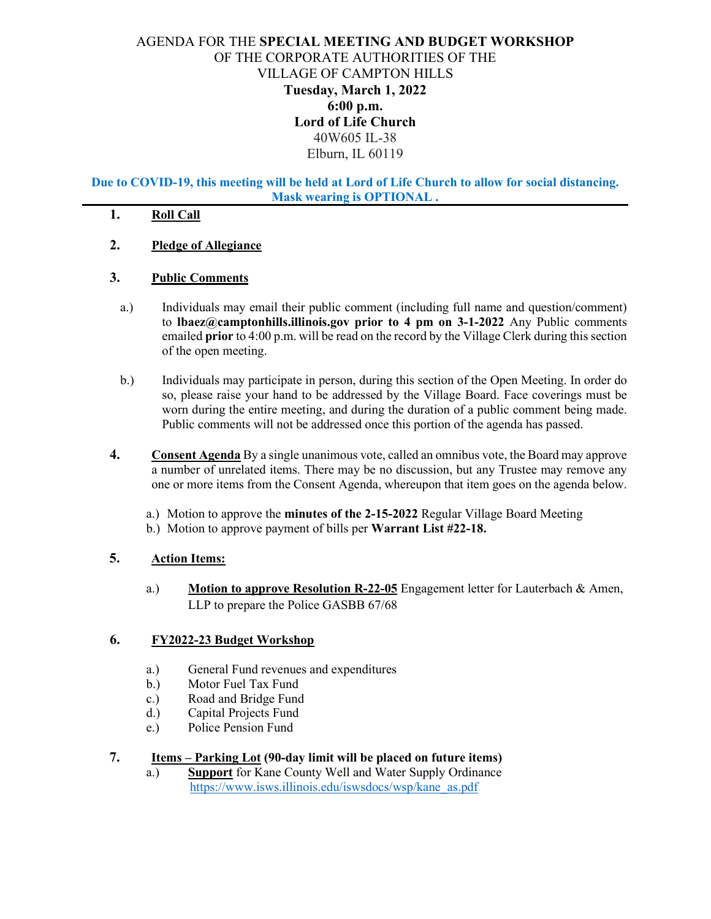# AGENDA FOR THE **SPECIAL MEETING AND BUDGET WORKSHOP** OF THE CORPORATE AUTHORITIES OF THE VILLAGE OF CAMPTON HILLS **Tuesday, March 1, 2022 6:00 p.m. Lord of Life Church**  40W605 IL-38 Elburn, IL 60119

**Due to COVID-19, this meeting will be held at Lord of Life Church to allow for social distancing. Mask wearing is OPTIONAL .**

### **1. Roll Call**

**2. Pledge of Allegiance**

### **3. Public Comments**

- a.) Individuals may email their public comment (including full name and question/comment) to **lbaez@camptonhills.illinois.gov prior to 4 pm on 3-1-2022** Any Public comments emailed **prior** to 4:00 p.m. will be read on the record by the Village Clerk during this section of the open meeting.
- b.) Individuals may participate in person, during this section of the Open Meeting. In order do so, please raise your hand to be addressed by the Village Board. Face coverings must be worn during the entire meeting, and during the duration of a public comment being made. Public comments will not be addressed once this portion of the agenda has passed.
- **4. Consent Agenda** By a single unanimous vote, called an omnibus vote, the Board may approve a number of unrelated items. There may be no discussion, but any Trustee may remove any one or more items from the Consent Agenda, whereupon that item goes on the agenda below.
	- a.) Motion to approve the **minutes of the 2-15-2022** Regular Village Board Meeting
	- b.) Motion to approve payment of bills per **Warrant List #22-18.**

### **5. Action Items:**

a.) **Motion to approve Resolution R-22-05** Engagement letter for Lauterbach & Amen, LLP to prepare the Police GASBB 67/68

### **6. FY2022-23 Budget Workshop**

- a.) General Fund revenues and expenditures
- b.) Motor Fuel Tax Fund
- c.) Road and Bridge Fund
- d.) Capital Projects Fund
- e.) Police Pension Fund

### **7. Items – Parking Lot (90-day limit will be placed on future items)**

a.) **Support** for Kane County Well and Water Supply Ordinance [https://www.isws.illinois.edu/iswsdocs/wsp/kane\\_as.pdf](https://www.isws.illinois.edu/iswsdocs/wsp/kane_as.pdf)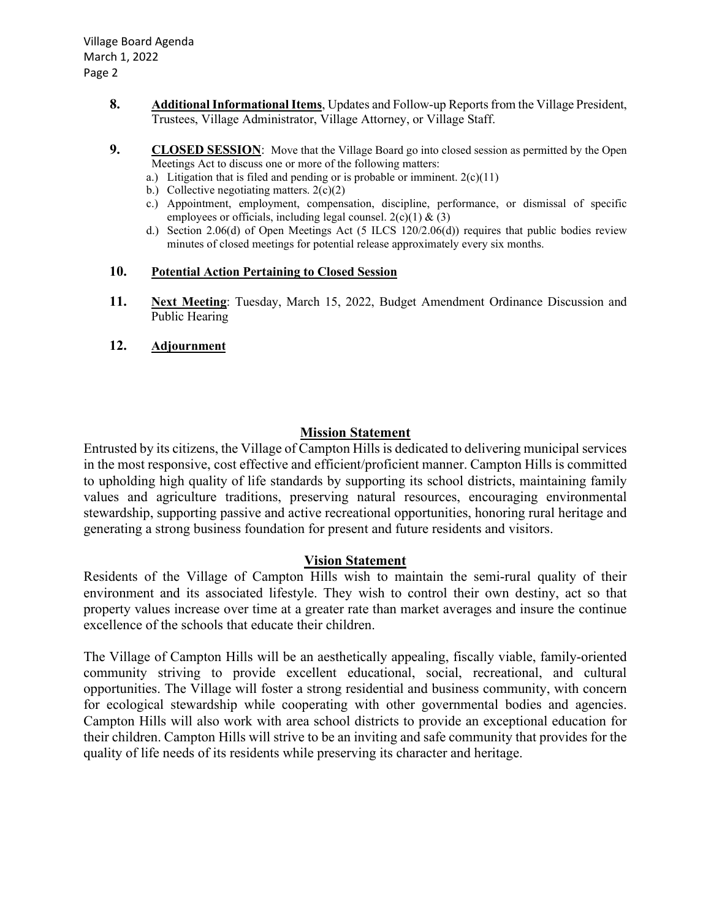- **8. Additional Informational Items**, Updates and Follow-up Reports from the Village President, Trustees, Village Administrator, Village Attorney, or Village Staff.
- **9. CLOSED SESSION**: Move that the Village Board go into closed session as permitted by the Open Meetings Act to discuss one or more of the following matters:
	- a.) Litigation that is filed and pending or is probable or imminent.  $2(c)(11)$
	- b.) Collective negotiating matters.  $2(c)(2)$
	- c.) Appointment, employment, compensation, discipline, performance, or dismissal of specific employees or officials, including legal counsel.  $2(c)(1) \& (3)$
	- d.) Section 2.06(d) of Open Meetings Act (5 ILCS 120/2.06(d)) requires that public bodies review minutes of closed meetings for potential release approximately every six months.

### **10. Potential Action Pertaining to Closed Session**

- **11. Next Meeting**: Tuesday, March 15, 2022, Budget Amendment Ordinance Discussion and Public Hearing
- **12. Adjournment**

### **Mission Statement**

Entrusted by its citizens, the Village of Campton Hills is dedicated to delivering municipal services in the most responsive, cost effective and efficient/proficient manner. Campton Hills is committed to upholding high quality of life standards by supporting its school districts, maintaining family values and agriculture traditions, preserving natural resources, encouraging environmental stewardship, supporting passive and active recreational opportunities, honoring rural heritage and generating a strong business foundation for present and future residents and visitors.

### **Vision Statement**

Residents of the Village of Campton Hills wish to maintain the semi-rural quality of their environment and its associated lifestyle. They wish to control their own destiny, act so that property values increase over time at a greater rate than market averages and insure the continue excellence of the schools that educate their children.

The Village of Campton Hills will be an aesthetically appealing, fiscally viable, family-oriented community striving to provide excellent educational, social, recreational, and cultural opportunities. The Village will foster a strong residential and business community, with concern for ecological stewardship while cooperating with other governmental bodies and agencies. Campton Hills will also work with area school districts to provide an exceptional education for their children. Campton Hills will strive to be an inviting and safe community that provides for the quality of life needs of its residents while preserving its character and heritage.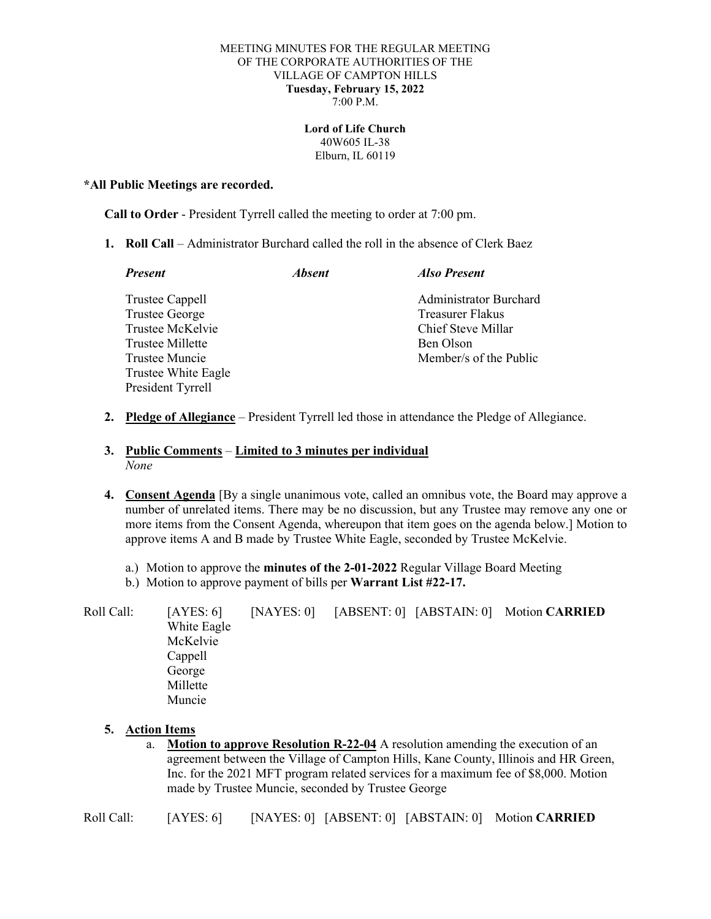#### MEETING MINUTES FOR THE REGULAR MEETING OF THE CORPORATE AUTHORITIES OF THE VILLAGE OF CAMPTON HILLS **Tuesday, February 15, 2022** 7:00 P.M.

#### **Lord of Life Church** 40W605 IL-38 Elburn, IL 60119

#### **\*All Public Meetings are recorded.**

**Call to Order** - President Tyrrell called the meeting to order at 7:00 pm.

**1. Roll Call** – Administrator Burchard called the roll in the absence of Clerk Baez

| <b>Present</b>        | <i><b>Absent</b></i> | <b>Also Present</b>           |
|-----------------------|----------------------|-------------------------------|
| Trustee Cappell       |                      | <b>Administrator Burchard</b> |
| <b>Trustee George</b> |                      | Treasurer Flakus              |
| Trustee McKelvie      |                      | Chief Steve Millar            |
| Trustee Millette      |                      | Ben Olson                     |
| Trustee Muncie        |                      | Member/s of the Public        |
| Trustee White Eagle   |                      |                               |
| President Tyrrell     |                      |                               |
|                       |                      |                               |

**2. Pledge of Allegiance** – President Tyrrell led those in attendance the Pledge of Allegiance.

### **3. Public Comments** – **Limited to 3 minutes per individual** *None*

- **4. Consent Agenda** [By a single unanimous vote, called an omnibus vote, the Board may approve a number of unrelated items. There may be no discussion, but any Trustee may remove any one or more items from the Consent Agenda, whereupon that item goes on the agenda below.] Motion to approve items A and B made by Trustee White Eagle, seconded by Trustee McKelvie.
	- a.) Motion to approve the **minutes of the 2-01-2022** Regular Village Board Meeting
	- b.) Motion to approve payment of bills per **Warrant List #22-17.**

Roll Call: [AYES: 6] [NAYES: 0] [ABSENT: 0] [ABSTAIN: 0] Motion **CARRIED** White Eagle McKelvie Cappell George Millette Muncie

### **5. Action Items**

a. **Motion to approve Resolution R-22-04** A resolution amending the execution of an agreement between the Village of Campton Hills, Kane County, Illinois and HR Green, Inc. for the 2021 MFT program related services for a maximum fee of \$8,000. Motion made by Trustee Muncie, seconded by Trustee George

Roll Call: [AYES: 6] [NAYES: 0] [ABSENT: 0] [ABSTAIN: 0] Motion **CARRIED**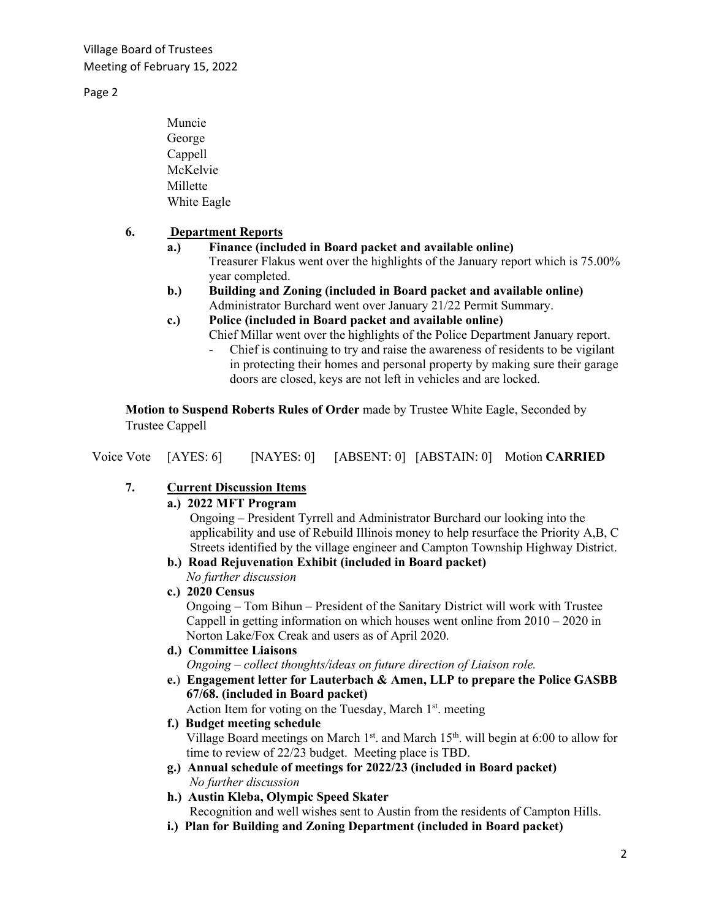Village Board of Trustees Meeting of February 15, 2022

Page 2

Muncie George Cappell McKelvie Millette White Eagle

## **6. Department Reports**

- **a.) Finance (included in Board packet and available online)** Treasurer Flakus went over the highlights of the January report which is 75.00% year completed.
- **b.) Building and Zoning (included in Board packet and available online)** Administrator Burchard went over January 21/22 Permit Summary.
- **c.) Police (included in Board packet and available online)**
	- Chief Millar went over the highlights of the Police Department January report.
		- Chief is continuing to try and raise the awareness of residents to be vigilant in protecting their homes and personal property by making sure their garage doors are closed, keys are not left in vehicles and are locked.

**Motion to Suspend Roberts Rules of Order** made by Trustee White Eagle, Seconded by Trustee Cappell

|  |  | Voice Vote [AYES: 6] |  |  |  | [NAYES: 0] [ABSENT: 0] [ABSTAIN: 0] Motion CARRIED |
|--|--|----------------------|--|--|--|----------------------------------------------------|
|--|--|----------------------|--|--|--|----------------------------------------------------|

# **7. Current Discussion Items**

### **a.) 2022 MFT Program**

Ongoing – President Tyrrell and Administrator Burchard our looking into the applicability and use of Rebuild Illinois money to help resurface the Priority A,B, C Streets identified by the village engineer and Campton Township Highway District.

**b.) Road Rejuvenation Exhibit (included in Board packet)** *No further discussion*

### **c.) 2020 Census**

Ongoing – Tom Bihun – President of the Sanitary District will work with Trustee Cappell in getting information on which houses went online from 2010 – 2020 in Norton Lake/Fox Creak and users as of April 2020.

## **d.) Committee Liaisons**

*Ongoing – collect thoughts/ideas on future direction of Liaison role.*

**e.**) **Engagement letter for Lauterbach & Amen, LLP to prepare the Police GASBB 67/68. (included in Board packet)**

Action Item for voting on the Tuesday, March 1<sup>st</sup>. meeting

### **f.) Budget meeting schedule**

Village Board meetings on March  $1<sup>st</sup>$ . and March  $15<sup>th</sup>$ . will begin at 6:00 to allow for time to review of 22/23 budget. Meeting place is TBD.

- **g.) Annual schedule of meetings for 2022/23 (included in Board packet)** *No further discussion*
- **h.) Austin Kleba, Olympic Speed Skater** Recognition and well wishes sent to Austin from the residents of Campton Hills.
- **i.) Plan for Building and Zoning Department (included in Board packet)**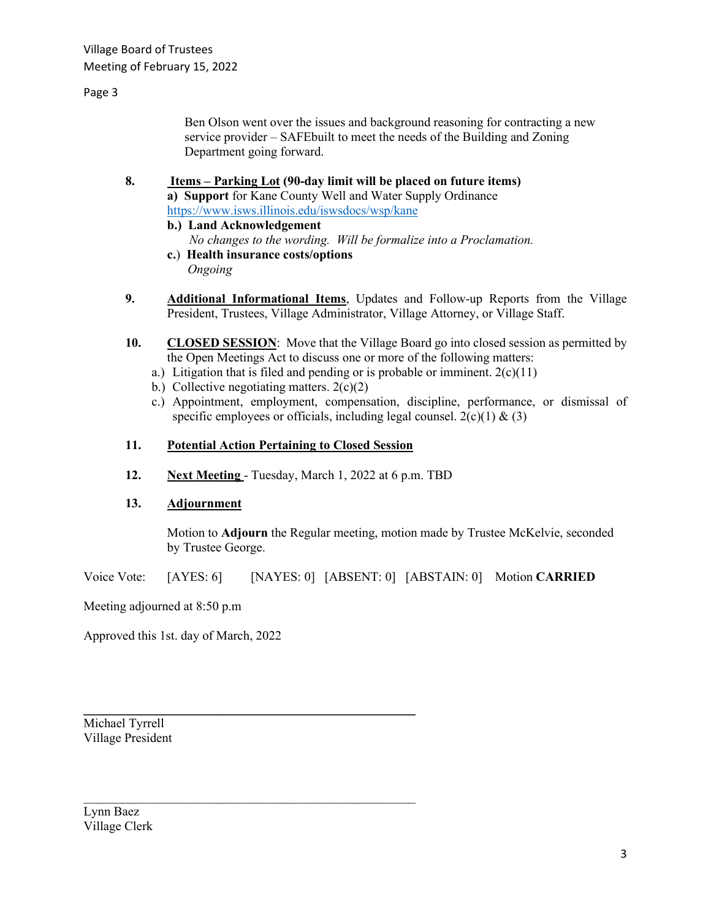### Page 3

Ben Olson went over the issues and background reasoning for contracting a new service provider – SAFEbuilt to meet the needs of the Building and Zoning Department going forward.

# **8. Items – Parking Lot (90-day limit will be placed on future items) a) Support** for Kane County Well and Water Supply Ordinance <https://www.isws.illinois.edu/iswsdocs/wsp/kane>

- **b.) Land Acknowledgement** *No changes to the wording. Will be formalize into a Proclamation.*
- **c.**) **Health insurance costs/options**

*Ongoing*

- **9. Additional Informational Items**, Updates and Follow-up Reports from the Village President, Trustees, Village Administrator, Village Attorney, or Village Staff.
- **10. CLOSED SESSION**: Move that the Village Board go into closed session as permitted by the Open Meetings Act to discuss one or more of the following matters:
	- a.) Litigation that is filed and pending or is probable or imminent.  $2(c)(11)$
	- b.) Collective negotiating matters.  $2(c)(2)$
	- c.) Appointment, employment, compensation, discipline, performance, or dismissal of specific employees or officials, including legal counsel.  $2(c)(1) \& (3)$

### **11. Potential Action Pertaining to Closed Session**

 $\mathcal{L}_\text{max}$  , and the contract of the contract of the contract of the contract of the contract of the contract of the contract of the contract of the contract of the contract of the contract of the contract of the contr

 $\mathcal{L}_\text{max}$  , and the contract of the contract of the contract of the contract of the contract of the contract of the contract of the contract of the contract of the contract of the contract of the contract of the contr

**12. Next Meeting** - Tuesday, March 1, 2022 at 6 p.m. TBD

### **13. Adjournment**

Motion to **Adjourn** the Regular meeting, motion made by Trustee McKelvie, seconded by Trustee George.

Voice Vote: [AYES: 6] [NAYES: 0] [ABSENT: 0] [ABSTAIN: 0] Motion **CARRIED**

Meeting adjourned at 8:50 p.m

Approved this 1st. day of March, 2022

Michael Tyrrell Village President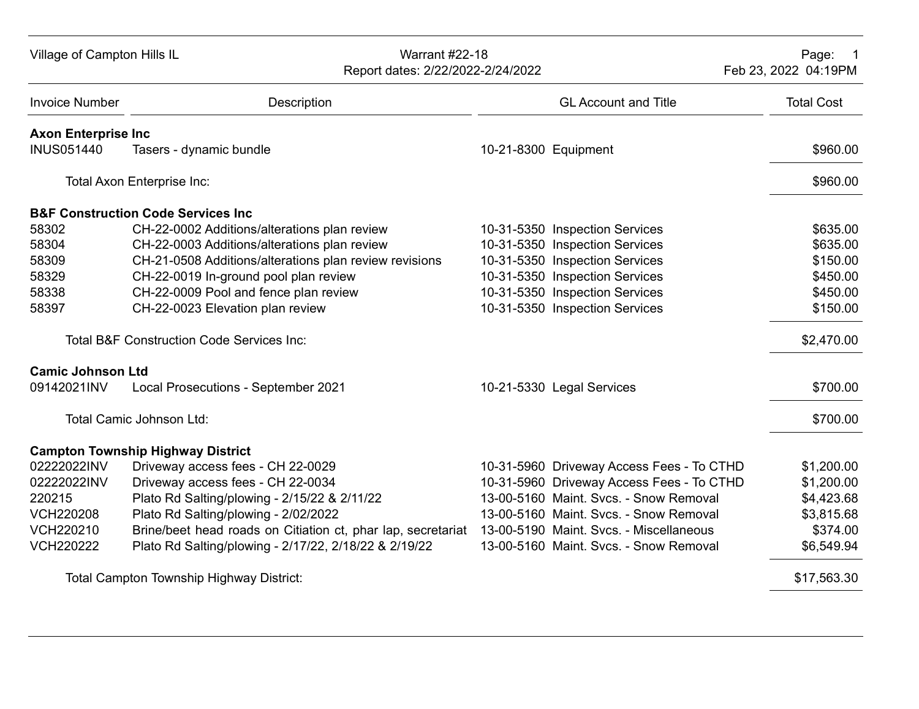| Village of Campton Hills IL | <b>Warrant #22-18</b><br>Report dates: 2/22/2022-2/24/2022                                           |                                           | Page:<br>Feb 23, 2022 04:19PM |
|-----------------------------|------------------------------------------------------------------------------------------------------|-------------------------------------------|-------------------------------|
| <b>Invoice Number</b>       | Description                                                                                          | <b>GL Account and Title</b>               | <b>Total Cost</b>             |
| <b>Axon Enterprise Inc.</b> |                                                                                                      |                                           |                               |
| <b>INUS051440</b>           | Tasers - dynamic bundle                                                                              | 10-21-8300 Equipment                      | \$960.00                      |
|                             | Total Axon Enterprise Inc:                                                                           |                                           | \$960.00                      |
|                             | <b>B&amp;F Construction Code Services Inc.</b>                                                       |                                           |                               |
| 58302                       | CH-22-0002 Additions/alterations plan review                                                         | 10-31-5350 Inspection Services            | \$635.00                      |
| 58304                       | CH-22-0003 Additions/alterations plan review                                                         | 10-31-5350 Inspection Services            | \$635.00                      |
| 58309                       | CH-21-0508 Additions/alterations plan review revisions                                               | 10-31-5350 Inspection Services            | \$150.00                      |
| 58329                       | CH-22-0019 In-ground pool plan review                                                                | 10-31-5350 Inspection Services            | \$450.00                      |
| 58338                       | CH-22-0009 Pool and fence plan review                                                                | 10-31-5350 Inspection Services            | \$450.00                      |
| 58397                       | CH-22-0023 Elevation plan review                                                                     | 10-31-5350 Inspection Services            | \$150.00                      |
|                             | <b>Total B&amp;F Construction Code Services Inc:</b>                                                 |                                           | \$2,470.00                    |
| <b>Camic Johnson Ltd</b>    |                                                                                                      |                                           |                               |
| 09142021INV                 | Local Prosecutions - September 2021                                                                  | 10-21-5330 Legal Services                 | \$700.00                      |
|                             | Total Camic Johnson Ltd:                                                                             |                                           | \$700.00                      |
|                             | <b>Campton Township Highway District</b>                                                             |                                           |                               |
| 02222022INV                 | Driveway access fees - CH 22-0029                                                                    | 10-31-5960 Driveway Access Fees - To CTHD | \$1,200.00                    |
| 02222022INV                 | Driveway access fees - CH 22-0034                                                                    | 10-31-5960 Driveway Access Fees - To CTHD | \$1,200.00                    |
| 220215                      | Plato Rd Salting/plowing - 2/15/22 & 2/11/22                                                         | 13-00-5160 Maint. Svcs. - Snow Removal    | \$4,423.68                    |
| <b>VCH220208</b>            | Plato Rd Salting/plowing - 2/02/2022                                                                 | 13-00-5160 Maint. Svcs. - Snow Removal    | \$3,815.68                    |
| VCH220210                   | Brine/beet head roads on Citiation ct, phar lap, secretariat 13-00-5190 Maint. Svcs. - Miscellaneous |                                           | \$374.00                      |
| <b>VCH220222</b>            | Plato Rd Salting/plowing - 2/17/22, 2/18/22 & 2/19/22                                                | 13-00-5160 Maint. Svcs. - Snow Removal    | \$6,549.94                    |
|                             | Total Campton Township Highway District:                                                             |                                           | \$17,563.30                   |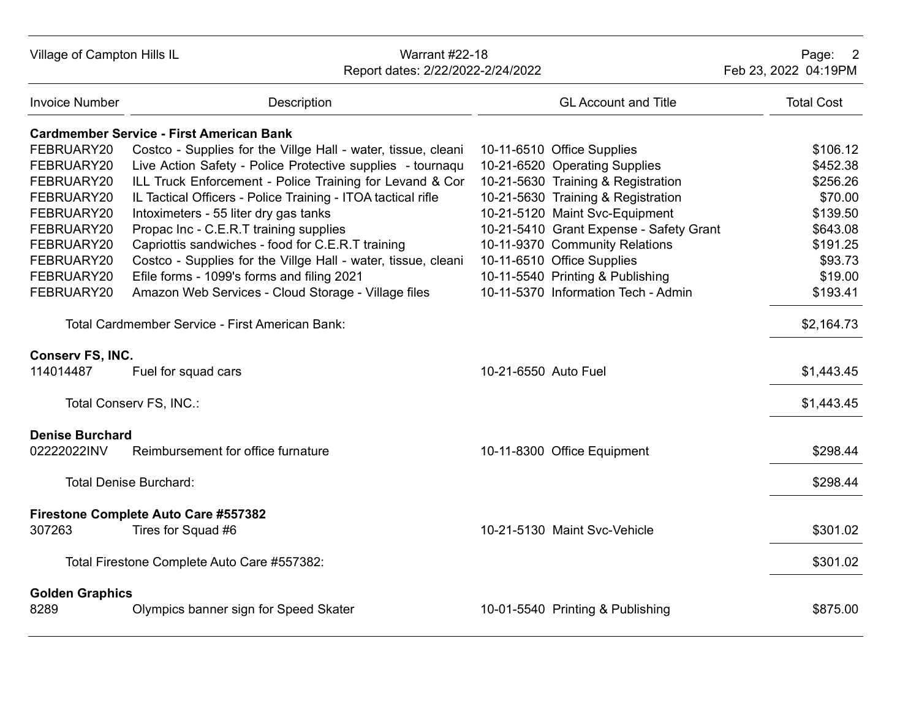| Village of Campton Hills IL    |                                                               | <b>Warrant #22-18</b><br>Report dates: 2/22/2022-2/24/2022 | Page: 2<br>Feb 23, 2022 04:19PM         |                   |
|--------------------------------|---------------------------------------------------------------|------------------------------------------------------------|-----------------------------------------|-------------------|
| <b>Invoice Number</b>          | Description                                                   |                                                            | <b>GL Account and Title</b>             | <b>Total Cost</b> |
|                                | <b>Cardmember Service - First American Bank</b>               |                                                            |                                         |                   |
| FEBRUARY20                     | Costco - Supplies for the Villge Hall - water, tissue, cleani |                                                            | 10-11-6510 Office Supplies              | \$106.12          |
| FEBRUARY20                     | Live Action Safety - Police Protective supplies - tournaqu    |                                                            | 10-21-6520 Operating Supplies           | \$452.38          |
| FEBRUARY20                     | ILL Truck Enforcement - Police Training for Levand & Cor      |                                                            | 10-21-5630 Training & Registration      | \$256.26          |
| FEBRUARY20                     | IL Tactical Officers - Police Training - ITOA tactical rifle  |                                                            | 10-21-5630 Training & Registration      | \$70.00           |
| FEBRUARY20                     | Intoximeters - 55 liter dry gas tanks                         |                                                            | 10-21-5120 Maint Svc-Equipment          | \$139.50          |
| FEBRUARY20                     | Propac Inc - C.E.R.T training supplies                        |                                                            | 10-21-5410 Grant Expense - Safety Grant | \$643.08          |
| FEBRUARY20                     | Capriottis sandwiches - food for C.E.R.T training             |                                                            | 10-11-9370 Community Relations          | \$191.25          |
| FEBRUARY20                     | Costco - Supplies for the Villge Hall - water, tissue, cleani |                                                            | 10-11-6510 Office Supplies              | \$93.73           |
| FEBRUARY20                     | Efile forms - 1099's forms and filing 2021                    |                                                            | 10-11-5540 Printing & Publishing        | \$19.00           |
| FEBRUARY20                     | Amazon Web Services - Cloud Storage - Village files           |                                                            | 10-11-5370 Information Tech - Admin     | \$193.41          |
|                                | Total Cardmember Service - First American Bank:               |                                                            |                                         | \$2,164.73        |
| Conserv FS, INC.               |                                                               |                                                            |                                         |                   |
| 114014487                      | Fuel for squad cars                                           | 10-21-6550 Auto Fuel                                       |                                         | \$1,443.45        |
|                                | Total Conserv FS, INC.:                                       |                                                            |                                         | \$1,443.45        |
| <b>Denise Burchard</b>         |                                                               |                                                            |                                         |                   |
| 02222022INV                    | Reimbursement for office furnature                            |                                                            | 10-11-8300 Office Equipment             | \$298.44          |
|                                | <b>Total Denise Burchard:</b>                                 |                                                            |                                         | \$298.44          |
|                                | Firestone Complete Auto Care #557382                          |                                                            |                                         |                   |
| 307263                         | Tires for Squad #6                                            |                                                            | 10-21-5130 Maint Svc-Vehicle            | \$301.02          |
|                                | Total Firestone Complete Auto Care #557382:                   |                                                            |                                         | \$301.02          |
| <b>Golden Graphics</b><br>8289 | Olympics banner sign for Speed Skater                         |                                                            | 10-01-5540 Printing & Publishing        | \$875.00          |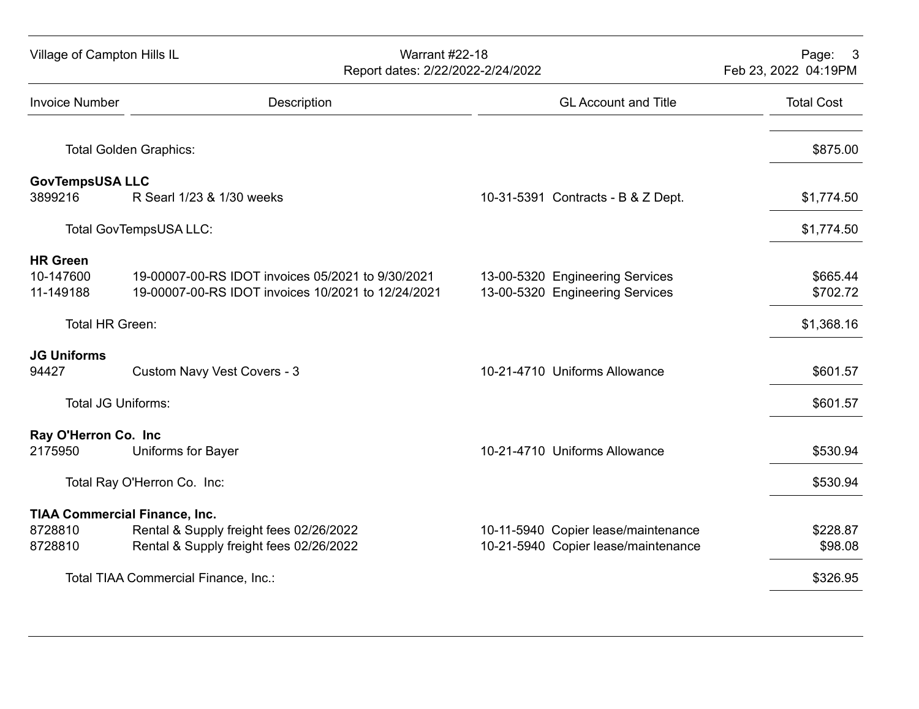| Village of Campton Hills IL                                |                                                                                                         | <b>Warrant #22-18</b><br>Report dates: 2/22/2022-2/24/2022 |                                                                            | Page: 3<br>Feb 23, 2022 04:19PM |
|------------------------------------------------------------|---------------------------------------------------------------------------------------------------------|------------------------------------------------------------|----------------------------------------------------------------------------|---------------------------------|
| <b>Invoice Number</b>                                      | Description                                                                                             |                                                            | <b>GL Account and Title</b>                                                | <b>Total Cost</b>               |
|                                                            | <b>Total Golden Graphics:</b>                                                                           |                                                            |                                                                            | \$875.00                        |
| <b>GovTempsUSA LLC</b><br>3899216                          | R Searl 1/23 & 1/30 weeks                                                                               |                                                            | 10-31-5391 Contracts - B & Z Dept.                                         | \$1,774.50                      |
|                                                            | Total GovTempsUSA LLC:                                                                                  |                                                            |                                                                            | \$1,774.50                      |
| <b>HR Green</b><br>10-147600<br>11-149188                  | 19-00007-00-RS IDOT invoices 05/2021 to 9/30/2021<br>19-00007-00-RS IDOT invoices 10/2021 to 12/24/2021 |                                                            | 13-00-5320 Engineering Services<br>13-00-5320 Engineering Services         | \$665.44<br>\$702.72            |
| Total HR Green:                                            |                                                                                                         |                                                            |                                                                            | \$1,368.16                      |
| <b>JG Uniforms</b><br>94427                                | Custom Navy Vest Covers - 3                                                                             |                                                            | 10-21-4710 Uniforms Allowance                                              | \$601.57                        |
| <b>Total JG Uniforms:</b>                                  |                                                                                                         |                                                            |                                                                            | \$601.57                        |
| Ray O'Herron Co. Inc<br>2175950                            | Uniforms for Bayer                                                                                      |                                                            | 10-21-4710 Uniforms Allowance                                              | \$530.94                        |
|                                                            | Total Ray O'Herron Co. Inc:                                                                             |                                                            |                                                                            | \$530.94                        |
| <b>TIAA Commercial Finance, Inc.</b><br>8728810<br>8728810 | Rental & Supply freight fees 02/26/2022<br>Rental & Supply freight fees 02/26/2022                      |                                                            | 10-11-5940 Copier lease/maintenance<br>10-21-5940 Copier lease/maintenance | \$228.87<br>\$98.08             |
|                                                            | Total TIAA Commercial Finance, Inc.:                                                                    |                                                            |                                                                            | \$326.95                        |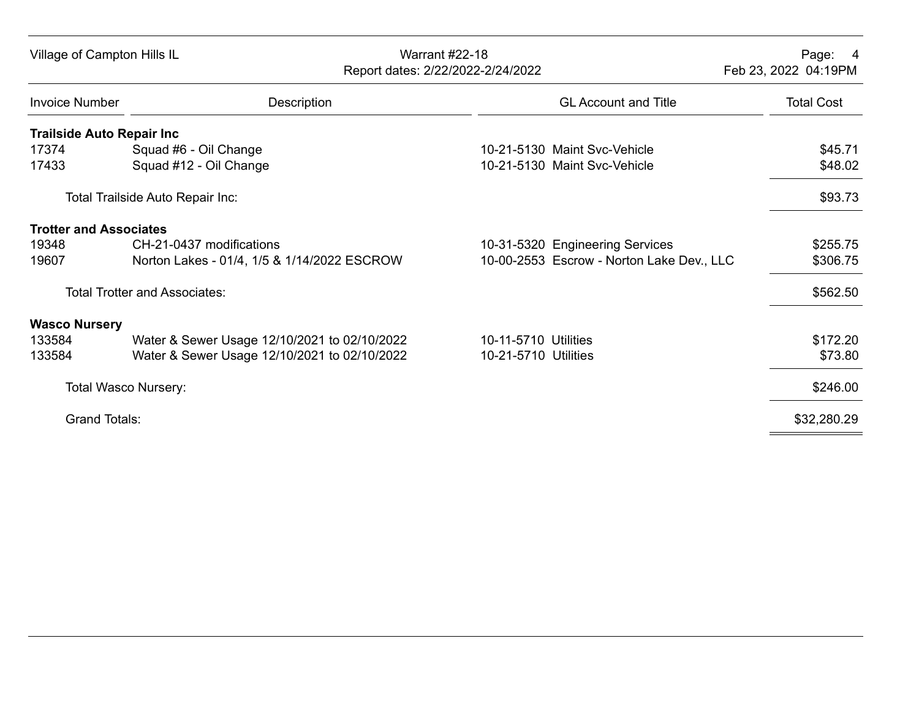| Village of Campton Hills IL      |                                              | <b>Warrant #22-18</b><br>Report dates: 2/22/2022-2/24/2022 | Page:<br>- 4<br>Feb 23, 2022 04:19PM |
|----------------------------------|----------------------------------------------|------------------------------------------------------------|--------------------------------------|
| <b>Invoice Number</b>            | Description                                  | <b>GL Account and Title</b>                                | <b>Total Cost</b>                    |
| <b>Trailside Auto Repair Inc</b> |                                              |                                                            |                                      |
| 17374                            | Squad #6 - Oil Change                        | 10-21-5130 Maint Syc-Vehicle                               | \$45.71                              |
| 17433                            | Squad #12 - Oil Change                       | 10-21-5130 Maint Svc-Vehicle                               | \$48.02                              |
|                                  | Total Trailside Auto Repair Inc:             |                                                            | \$93.73                              |
| <b>Trotter and Associates</b>    |                                              |                                                            |                                      |
| 19348                            | CH-21-0437 modifications                     | 10-31-5320 Engineering Services                            | \$255.75                             |
| 19607                            | Norton Lakes - 01/4, 1/5 & 1/14/2022 ESCROW  | 10-00-2553 Escrow - Norton Lake Dev., LLC                  | \$306.75                             |
|                                  | <b>Total Trotter and Associates:</b>         |                                                            | \$562.50                             |
| <b>Wasco Nursery</b>             |                                              |                                                            |                                      |
| 133584                           | Water & Sewer Usage 12/10/2021 to 02/10/2022 | 10-11-5710 Utilities                                       | \$172.20                             |
| 133584                           | Water & Sewer Usage 12/10/2021 to 02/10/2022 | 10-21-5710 Utilities                                       | \$73.80                              |
| <b>Total Wasco Nursery:</b>      |                                              |                                                            | \$246.00                             |
| <b>Grand Totals:</b>             |                                              |                                                            | \$32,280.29                          |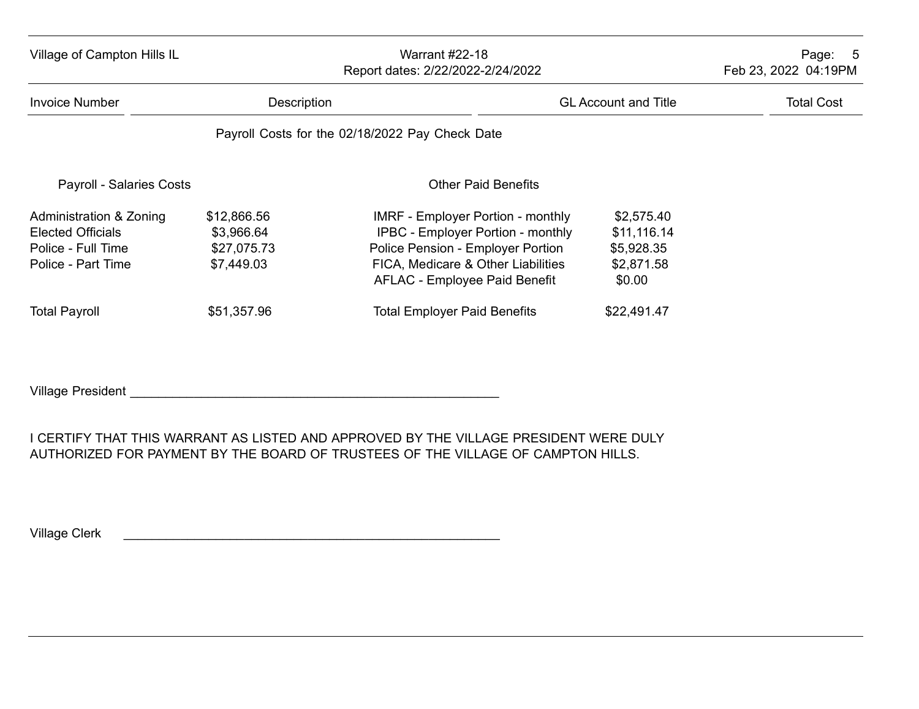| Village of Campton Hills IL                                                                     | <b>Warrant #22-18</b><br>Report dates: 2/22/2022-2/24/2022 |                                                                                                                                                                                                  |                                                                 | Page: 5<br>Feb 23, 2022 04:19PM |  |
|-------------------------------------------------------------------------------------------------|------------------------------------------------------------|--------------------------------------------------------------------------------------------------------------------------------------------------------------------------------------------------|-----------------------------------------------------------------|---------------------------------|--|
| Invoice Number                                                                                  |                                                            | Description<br><b>GL Account and Title</b>                                                                                                                                                       |                                                                 | <b>Total Cost</b>               |  |
|                                                                                                 |                                                            | Payroll Costs for the 02/18/2022 Pay Check Date                                                                                                                                                  |                                                                 |                                 |  |
| <b>Payroll - Salaries Costs</b>                                                                 |                                                            | <b>Other Paid Benefits</b>                                                                                                                                                                       |                                                                 |                                 |  |
| Administration & Zoning<br><b>Elected Officials</b><br>Police - Full Time<br>Police - Part Time | \$12,866.56<br>\$3,966.64<br>\$27,075.73<br>\$7,449.03     | <b>IMRF - Employer Portion - monthly</b><br><b>IPBC - Employer Portion - monthly</b><br>Police Pension - Employer Portion<br>FICA, Medicare & Other Liabilities<br>AFLAC - Employee Paid Benefit | \$2,575.40<br>\$11,116.14<br>\$5,928.35<br>\$2,871.58<br>\$0.00 |                                 |  |
| <b>Total Payroll</b>                                                                            | \$51,357.96                                                | <b>Total Employer Paid Benefits</b>                                                                                                                                                              | \$22,491.47                                                     |                                 |  |

Village President \_\_\_\_\_\_\_\_\_\_\_\_\_\_\_\_\_\_\_\_\_\_\_\_\_\_\_\_\_\_\_\_\_\_\_\_\_\_\_\_\_\_\_\_\_\_\_\_\_\_\_\_

I CERTIFY THAT THIS WARRANT AS LISTED AND APPROVED BY THE VILLAGE PRESIDENT WERE DULY AUTHORIZED FOR PAYMENT BY THE BOARD OF TRUSTEES OF THE VILLAGE OF CAMPTON HILLS.

Village Clerk **Letter and Clerk** and Clerk **Letter and Clerk** and Clerk and Clerk and Clerk and Clerk and Clerk and Clerk and Clerk and Clerk and Clerk and Clerk and Clerk and Clerk and Clerk and Clerk and Clerk and Clerk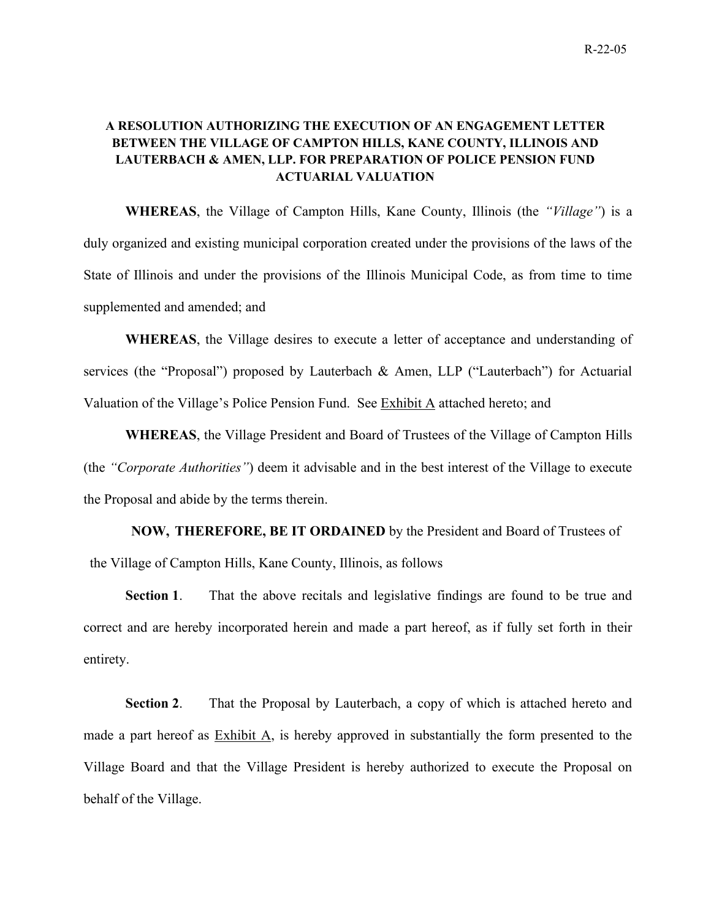## **A RESOLUTION AUTHORIZING THE EXECUTION OF AN ENGAGEMENT LETTER BETWEEN THE VILLAGE OF CAMPTON HILLS, KANE COUNTY, ILLINOIS AND LAUTERBACH & AMEN, LLP. FOR PREPARATION OF POLICE PENSION FUND ACTUARIAL VALUATION**

**WHEREAS**, the Village of Campton Hills, Kane County, Illinois (the *"Village"*) is a duly organized and existing municipal corporation created under the provisions of the laws of the State of Illinois and under the provisions of the Illinois Municipal Code, as from time to time supplemented and amended; and

**WHEREAS**, the Village desires to execute a letter of acceptance and understanding of services (the "Proposal") proposed by Lauterbach & Amen, LLP ("Lauterbach") for Actuarial Valuation of the Village's Police Pension Fund. See Exhibit A attached hereto; and

**WHEREAS**, the Village President and Board of Trustees of the Village of Campton Hills (the *"Corporate Authorities"*) deem it advisable and in the best interest of the Village to execute the Proposal and abide by the terms therein.

**NOW, THEREFORE, BE IT ORDAINED** by the President and Board of Trustees of the Village of Campton Hills, Kane County, Illinois, as follows

**Section 1**. That the above recitals and legislative findings are found to be true and correct and are hereby incorporated herein and made a part hereof, as if fully set forth in their entirety.

**Section 2**. That the Proposal by Lauterbach, a copy of which is attached hereto and made a part hereof as  $Exhibit A$ , is hereby approved in substantially the form presented to the Village Board and that the Village President is hereby authorized to execute the Proposal on behalf of the Village.